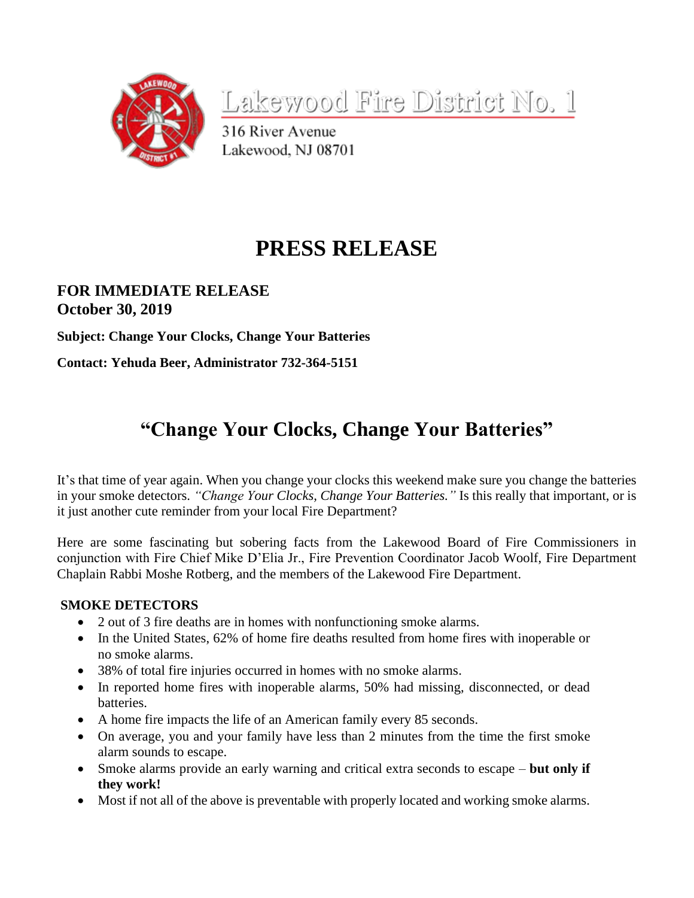

Lakewood Fire District No. 1

316 River Avenue Lakewood, NJ 08701

# **PRESS RELEASE**

### **FOR IMMEDIATE RELEASE October 30, 2019**

**Subject: Change Your Clocks, Change Your Batteries**

**Contact: Yehuda Beer, Administrator 732-364-5151**

## **"Change Your Clocks, Change Your Batteries"**

It's that time of year again. When you change your clocks this weekend make sure you change the batteries in your smoke detectors. *"Change Your Clocks, Change Your Batteries."* Is this really that important, or is it just another cute reminder from your local Fire Department?

Here are some fascinating but sobering facts from the Lakewood Board of Fire Commissioners in conjunction with Fire Chief Mike D'Elia Jr., Fire Prevention Coordinator Jacob Woolf, Fire Department Chaplain Rabbi Moshe Rotberg, and the members of the Lakewood Fire Department.

#### **SMOKE DETECTORS**

- 2 out of 3 fire deaths are in homes with nonfunctioning smoke alarms.
- In the United States, 62% of home fire deaths resulted from home fires with inoperable or no smoke alarms.
- 38% of total fire injuries occurred in homes with no smoke alarms.
- In reported home fires with inoperable alarms, 50% had missing, disconnected, or dead batteries.
- A home fire impacts the life of an American family every 85 seconds.
- On average, you and your family have less than 2 minutes from the time the first smoke alarm sounds to escape.
- Smoke alarms provide an early warning and critical extra seconds to escape **but only if they work!**
- Most if not all of the above is preventable with properly located and working smoke alarms.